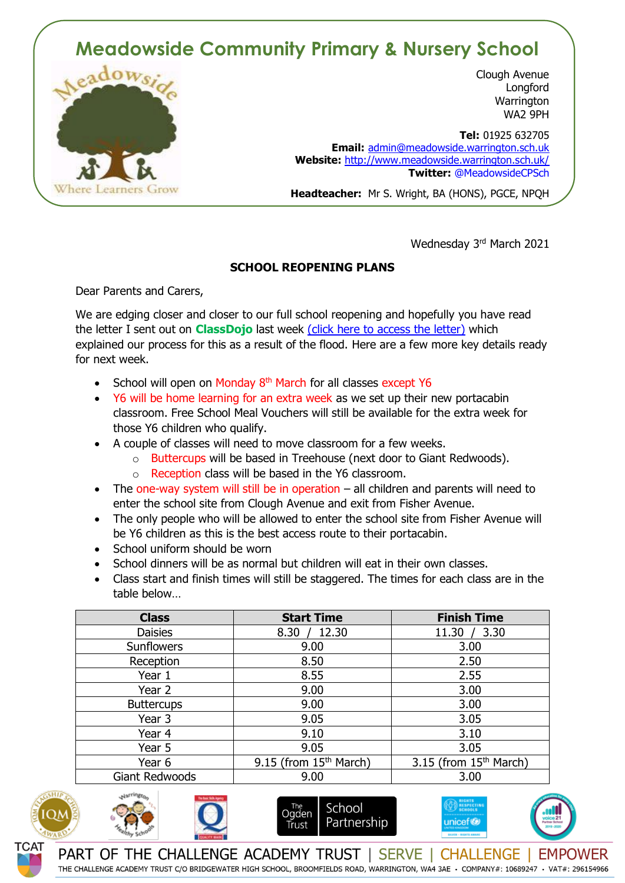# **Meadowside Community Primary & Nursery School**



Clough Avenue **Longford Warrington** WA2 9PH

 **Tel:** 01925 632705 **Email:** [admin@meadowside.warrington.sch.uk](mailto:admin@meadowside.warrington.sch.uk) **Website:** <http://www.meadowside.warrington.sch.uk/> **Twitter:** @MeadowsideCPSch

**Headteacher:** Mr S. Wright, BA (HONS), PGCE, NPQH

Wednesday 3rd March 2021

# **SCHOOL REOPENING PLANS**

Dear Parents and Carers,

We are edging closer and closer to our full school reopening and hopefully you have read the letter I sent out on **ClassDojo** last week [\(click here to access the letter\)](http://www.meadowside.warrington.sch.uk/serve_file/1010268) which explained our process for this as a result of the flood. Here are a few more key details ready for next week.

- School will open on Monday 8<sup>th</sup> March for all classes except Y6
- Y6 will be home learning for an extra week as we set up their new portacabin classroom. Free School Meal Vouchers will still be available for the extra week for those Y6 children who qualify.
- A couple of classes will need to move classroom for a few weeks.
	- o Buttercups will be based in Treehouse (next door to Giant Redwoods).
	- o Reception class will be based in the Y6 classroom.
- The one-way system will still be in operation all children and parents will need to enter the school site from Clough Avenue and exit from Fisher Avenue.
- The only people who will be allowed to enter the school site from Fisher Avenue will be Y6 children as this is the best access route to their portacabin.
- School uniform should be worn
- School dinners will be as normal but children will eat in their own classes.
- Class start and finish times will still be staggered. The times for each class are in the table below…

| <b>Class</b>      | <b>Start Time</b>        | <b>Finish Time</b>                 |
|-------------------|--------------------------|------------------------------------|
| <b>Daisies</b>    | 12.30<br>8.30            | 3.30<br>11.30 /                    |
| Sunflowers        | 9.00                     | 3.00                               |
| Reception         | 8.50                     | 2.50                               |
| Year 1            | 8.55                     | 2.55                               |
| Year 2            | 9.00                     | 3.00                               |
| <b>Buttercups</b> | 9.00                     | 3.00                               |
| Year 3            | 9.05                     | 3.05                               |
| Year 4            | 9.10                     | 3.10                               |
| Year 5            | 9.05                     | 3.05                               |
| Year 6            | 9.15 (from $15th$ March) | 3.15 (from 15 <sup>th</sup> March) |
| Giant Redwoods    | 9.00                     | 3.00                               |





School The<br>Ogden Partnership Trust